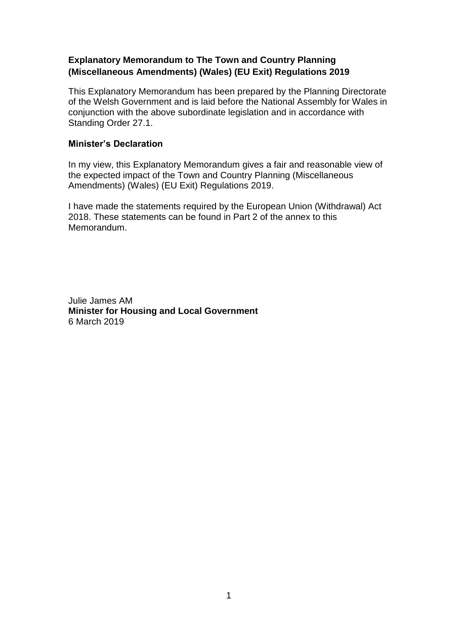# **Explanatory Memorandum to The Town and Country Planning (Miscellaneous Amendments) (Wales) (EU Exit) Regulations 2019**

This Explanatory Memorandum has been prepared by the Planning Directorate of the Welsh Government and is laid before the National Assembly for Wales in conjunction with the above subordinate legislation and in accordance with Standing Order 27.1.

#### **Minister's Declaration**

In my view, this Explanatory Memorandum gives a fair and reasonable view of the expected impact of the Town and Country Planning (Miscellaneous Amendments) (Wales) (EU Exit) Regulations 2019.

I have made the statements required by the European Union (Withdrawal) Act 2018. These statements can be found in Part 2 of the annex to this Memorandum.

Julie James AM **Minister for Housing and Local Government** 6 March 2019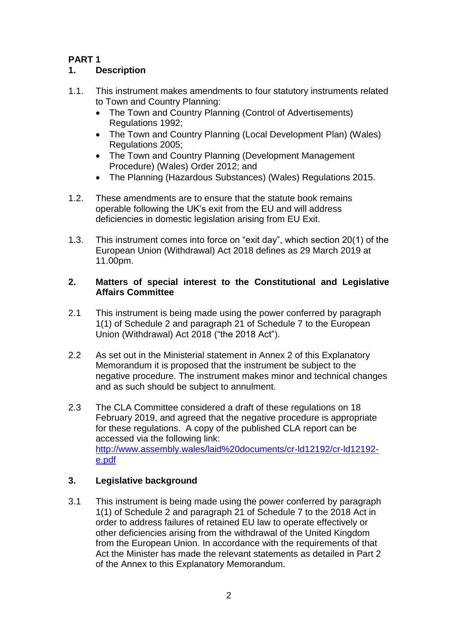# **PART 1**

# **1. Description**

- 1.1. This instrument makes amendments to four statutory instruments related to Town and Country Planning:
	- The Town and Country Planning (Control of Advertisements) Regulations 1992;
	- The Town and Country Planning (Local Development Plan) (Wales) Regulations 2005;
	- The Town and Country Planning (Development Management Procedure) (Wales) Order 2012; and
	- The Planning (Hazardous Substances) (Wales) Regulations 2015.
- 1.2. These amendments are to ensure that the statute book remains operable following the UK's exit from the EU and will address deficiencies in domestic legislation arising from EU Exit.
- 1.3. This instrument comes into force on "exit day", which section 20(1) of the European Union (Withdrawal) Act 2018 defines as 29 March 2019 at 11.00pm.

### **2. Matters of special interest to the Constitutional and Legislative Affairs Committee**

- 2.1 This instrument is being made using the power conferred by paragraph 1(1) of Schedule 2 and paragraph 21 of Schedule 7 to the European Union (Withdrawal) Act 2018 ("the 2018 Act").
- 2.2 As set out in the Ministerial statement in Annex 2 of this Explanatory Memorandum it is proposed that the instrument be subject to the negative procedure. The instrument makes minor and technical changes and as such should be subject to annulment.
- 2.3 The CLA Committee considered a draft of these regulations on 18 February 2019, and agreed that the negative procedure is appropriate for these regulations. A copy of the published CLA report can be accessed via the following link: [http://www.assembly.wales/laid%20documents/cr-ld12192/cr-ld12192](http://www.assembly.wales/laid%20documents/cr-ld12192/cr-ld12192-e.pdf) [e.pdf](http://www.assembly.wales/laid%20documents/cr-ld12192/cr-ld12192-e.pdf)

# **3. Legislative background**

3.1 This instrument is being made using the power conferred by paragraph 1(1) of Schedule 2 and paragraph 21 of Schedule 7 to the 2018 Act in order to address failures of retained EU law to operate effectively or other deficiencies arising from the withdrawal of the United Kingdom from the European Union. In accordance with the requirements of that Act the Minister has made the relevant statements as detailed in Part 2 of the Annex to this Explanatory Memorandum.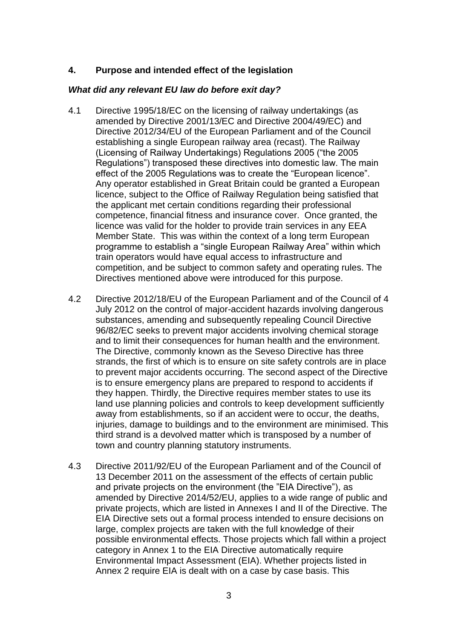### **4. Purpose and intended effect of the legislation**

#### *What did any relevant EU law do before exit day?*

- 4.1 Directive 1995/18/EC on the licensing of railway undertakings (as amended by Directive 2001/13/EC and Directive 2004/49/EC) and Directive 2012/34/EU of the European Parliament and of the Council establishing a single European railway area (recast). The Railway (Licensing of Railway Undertakings) Regulations 2005 ("the 2005 Regulations") transposed these directives into domestic law. The main effect of the 2005 Regulations was to create the "European licence". Any operator established in Great Britain could be granted a European licence, subject to the Office of Railway Regulation being satisfied that the applicant met certain conditions regarding their professional competence, financial fitness and insurance cover. Once granted, the licence was valid for the holder to provide train services in any EEA Member State. This was within the context of a long term European programme to establish a "single European Railway Area" within which train operators would have equal access to infrastructure and competition, and be subject to common safety and operating rules. The Directives mentioned above were introduced for this purpose.
- 4.2 Directive 2012/18/EU of the European Parliament and of the Council of 4 July 2012 on the control of major-accident hazards involving dangerous substances, amending and subsequently repealing Council Directive 96/82/EC seeks to prevent major accidents involving chemical storage and to limit their consequences for human health and the environment. The Directive, commonly known as the Seveso Directive has three strands, the first of which is to ensure on site safety controls are in place to prevent major accidents occurring. The second aspect of the Directive is to ensure emergency plans are prepared to respond to accidents if they happen. Thirdly, the Directive requires member states to use its land use planning policies and controls to keep development sufficiently away from establishments, so if an accident were to occur, the deaths, injuries, damage to buildings and to the environment are minimised. This third strand is a devolved matter which is transposed by a number of town and country planning statutory instruments.
- 4.3 Directive 2011/92/EU of the European Parliament and of the Council of 13 December 2011 on the assessment of the effects of certain public and private projects on the environment (the "EIA Directive"), as amended by Directive 2014/52/EU, applies to a wide range of public and private projects, which are listed in Annexes I and II of the Directive. The EIA Directive sets out a formal process intended to ensure decisions on large, complex projects are taken with the full knowledge of their possible environmental effects. Those projects which fall within a project category in Annex 1 to the EIA Directive automatically require Environmental Impact Assessment (EIA). Whether projects listed in Annex 2 require EIA is dealt with on a case by case basis. This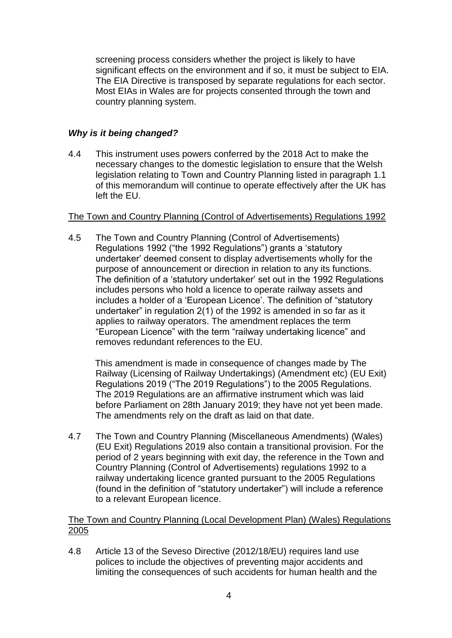screening process considers whether the project is likely to have significant effects on the environment and if so, it must be subject to EIA. The EIA Directive is transposed by separate regulations for each sector. Most EIAs in Wales are for projects consented through the town and country planning system.

# *Why is it being changed?*

4.4 This instrument uses powers conferred by the 2018 Act to make the necessary changes to the domestic legislation to ensure that the Welsh legislation relating to Town and Country Planning listed in paragraph 1.1 of this memorandum will continue to operate effectively after the UK has left the EU.

### The Town and Country Planning (Control of Advertisements) Regulations 1992

4.5 The Town and Country Planning (Control of Advertisements) Regulations 1992 ("the 1992 Regulations") grants a 'statutory undertaker' deemed consent to display advertisements wholly for the purpose of announcement or direction in relation to any its functions. The definition of a 'statutory undertaker' set out in the 1992 Regulations includes persons who hold a licence to operate railway assets and includes a holder of a 'European Licence'. The definition of "statutory undertaker" in regulation 2(1) of the 1992 is amended in so far as it applies to railway operators. The amendment replaces the term "European Licence" with the term "railway undertaking licence" and removes redundant references to the EU.

This amendment is made in consequence of changes made by The Railway (Licensing of Railway Undertakings) (Amendment etc) (EU Exit) Regulations 2019 ("The 2019 Regulations") to the 2005 Regulations. The 2019 Regulations are an affirmative instrument which was laid before Parliament on 28th January 2019; they have not yet been made. The amendments rely on the draft as laid on that date.

4.7 The Town and Country Planning (Miscellaneous Amendments) (Wales) (EU Exit) Regulations 2019 also contain a transitional provision. For the period of 2 years beginning with exit day, the reference in the Town and Country Planning (Control of Advertisements) regulations 1992 to a railway undertaking licence granted pursuant to the 2005 Regulations (found in the definition of "statutory undertaker") will include a reference to a relevant European licence.

### The Town and Country Planning (Local Development Plan) (Wales) Regulations 2005

4.8 Article 13 of the Seveso Directive (2012/18/EU) requires land use polices to include the objectives of preventing major accidents and limiting the consequences of such accidents for human health and the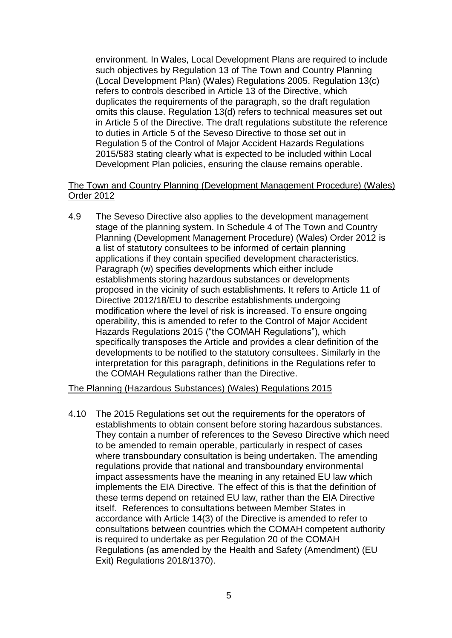environment. In Wales, Local Development Plans are required to include such objectives by Regulation 13 of The Town and Country Planning (Local Development Plan) (Wales) Regulations 2005. Regulation 13(c) refers to controls described in Article 13 of the Directive, which duplicates the requirements of the paragraph, so the draft regulation omits this clause. Regulation 13(d) refers to technical measures set out in Article 5 of the Directive. The draft regulations substitute the reference to duties in Article 5 of the Seveso Directive to those set out in Regulation 5 of the Control of Major Accident Hazards Regulations 2015/583 stating clearly what is expected to be included within Local Development Plan policies, ensuring the clause remains operable.

#### The Town and Country Planning (Development Management Procedure) (Wales) Order 2012

4.9 The Seveso Directive also applies to the development management stage of the planning system. In Schedule 4 of The Town and Country Planning (Development Management Procedure) (Wales) Order 2012 is a list of statutory consultees to be informed of certain planning applications if they contain specified development characteristics. Paragraph (w) specifies developments which either include establishments storing hazardous substances or developments proposed in the vicinity of such establishments. It refers to Article 11 of Directive 2012/18/EU to describe establishments undergoing modification where the level of risk is increased. To ensure ongoing operability, this is amended to refer to the Control of Major Accident Hazards Regulations 2015 ("the COMAH Regulations"), which specifically transposes the Article and provides a clear definition of the developments to be notified to the statutory consultees. Similarly in the interpretation for this paragraph, definitions in the Regulations refer to the COMAH Regulations rather than the Directive.

#### The Planning (Hazardous Substances) (Wales) Regulations 2015

4.10 The 2015 Regulations set out the requirements for the operators of establishments to obtain consent before storing hazardous substances. They contain a number of references to the Seveso Directive which need to be amended to remain operable, particularly in respect of cases where transboundary consultation is being undertaken. The amending regulations provide that national and transboundary environmental impact assessments have the meaning in any retained EU law which implements the EIA Directive. The effect of this is that the definition of these terms depend on retained EU law, rather than the EIA Directive itself. References to consultations between Member States in accordance with Article 14(3) of the Directive is amended to refer to consultations between countries which the COMAH competent authority is required to undertake as per Regulation 20 of the COMAH Regulations (as amended by the Health and Safety (Amendment) (EU Exit) Regulations 2018/1370).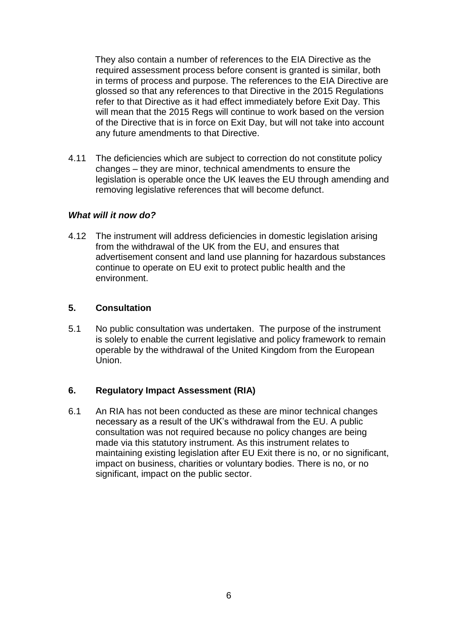They also contain a number of references to the EIA Directive as the required assessment process before consent is granted is similar, both in terms of process and purpose. The references to the EIA Directive are glossed so that any references to that Directive in the 2015 Regulations refer to that Directive as it had effect immediately before Exit Day. This will mean that the 2015 Regs will continue to work based on the version of the Directive that is in force on Exit Day, but will not take into account any future amendments to that Directive.

4.11 The deficiencies which are subject to correction do not constitute policy changes – they are minor, technical amendments to ensure the legislation is operable once the UK leaves the EU through amending and removing legislative references that will become defunct.

#### *What will it now do?*

4.12 The instrument will address deficiencies in domestic legislation arising from the withdrawal of the UK from the EU, and ensures that advertisement consent and land use planning for hazardous substances continue to operate on EU exit to protect public health and the environment.

#### **5. Consultation**

5.1 No public consultation was undertaken. The purpose of the instrument is solely to enable the current legislative and policy framework to remain operable by the withdrawal of the United Kingdom from the European Union.

#### **6. Regulatory Impact Assessment (RIA)**

6.1 An RIA has not been conducted as these are minor technical changes necessary as a result of the UK's withdrawal from the EU. A public consultation was not required because no policy changes are being made via this statutory instrument. As this instrument relates to maintaining existing legislation after EU Exit there is no, or no significant, impact on business, charities or voluntary bodies. There is no, or no significant, impact on the public sector.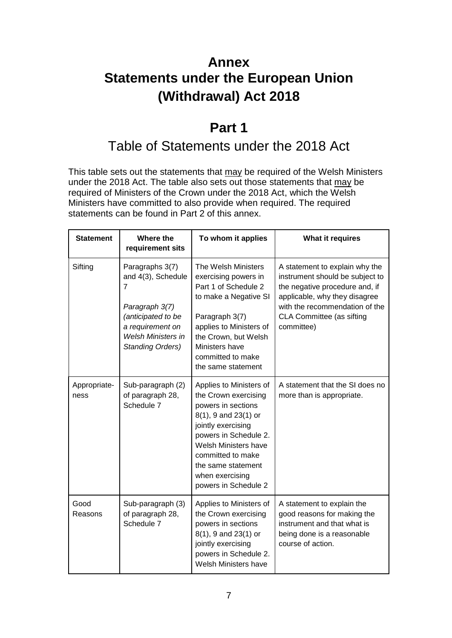# **Annex Statements under the European Union (Withdrawal) Act 2018**

# **Part 1**

# Table of Statements under the 2018 Act

This table sets out the statements that may be required of the Welsh Ministers under the 2018 Act. The table also sets out those statements that may be required of Ministers of the Crown under the 2018 Act, which the Welsh Ministers have committed to also provide when required. The required statements can be found in Part 2 of this annex.

| <b>Statement</b>     | Where the<br>requirement sits                                                                                                                           | To whom it applies                                                                                                                                                                                                                                            | What it requires                                                                                                                                                                                                  |
|----------------------|---------------------------------------------------------------------------------------------------------------------------------------------------------|---------------------------------------------------------------------------------------------------------------------------------------------------------------------------------------------------------------------------------------------------------------|-------------------------------------------------------------------------------------------------------------------------------------------------------------------------------------------------------------------|
| Sifting              | Paragraphs 3(7)<br>and 4(3), Schedule<br>7<br>Paragraph 3(7)<br>(anticipated to be<br>a requirement on<br><b>Welsh Ministers in</b><br>Standing Orders) | The Welsh Ministers<br>exercising powers in<br>Part 1 of Schedule 2<br>to make a Negative SI<br>Paragraph 3(7)<br>applies to Ministers of<br>the Crown, but Welsh<br>Ministers have<br>committed to make<br>the same statement                                | A statement to explain why the<br>instrument should be subject to<br>the negative procedure and, if<br>applicable, why they disagree<br>with the recommendation of the<br>CLA Committee (as sifting<br>committee) |
| Appropriate-<br>ness | Sub-paragraph (2)<br>of paragraph 28,<br>Schedule 7                                                                                                     | Applies to Ministers of<br>the Crown exercising<br>powers in sections<br>$8(1)$ , 9 and 23(1) or<br>jointly exercising<br>powers in Schedule 2.<br>Welsh Ministers have<br>committed to make<br>the same statement<br>when exercising<br>powers in Schedule 2 | A statement that the SI does no<br>more than is appropriate.                                                                                                                                                      |
| Good<br>Reasons      | Sub-paragraph (3)<br>of paragraph 28,<br>Schedule 7                                                                                                     | Applies to Ministers of<br>the Crown exercising<br>powers in sections<br>$8(1)$ , 9 and 23(1) or<br>jointly exercising<br>powers in Schedule 2.<br>Welsh Ministers have                                                                                       | A statement to explain the<br>good reasons for making the<br>instrument and that what is<br>being done is a reasonable<br>course of action.                                                                       |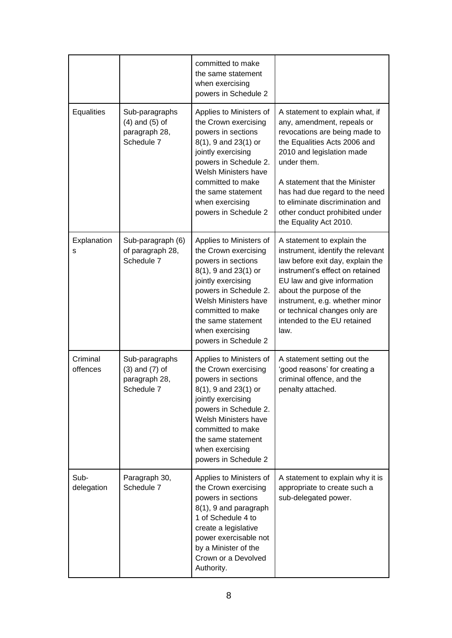|                      |                                                                     | committed to make<br>the same statement<br>when exercising<br>powers in Schedule 2                                                                                                                                                                         |                                                                                                                                                                                                                                                                                                                                              |
|----------------------|---------------------------------------------------------------------|------------------------------------------------------------------------------------------------------------------------------------------------------------------------------------------------------------------------------------------------------------|----------------------------------------------------------------------------------------------------------------------------------------------------------------------------------------------------------------------------------------------------------------------------------------------------------------------------------------------|
| <b>Equalities</b>    | Sub-paragraphs<br>$(4)$ and $(5)$ of<br>paragraph 28,<br>Schedule 7 | Applies to Ministers of<br>the Crown exercising<br>powers in sections<br>8(1), 9 and 23(1) or<br>jointly exercising<br>powers in Schedule 2.<br>Welsh Ministers have<br>committed to make<br>the same statement<br>when exercising<br>powers in Schedule 2 | A statement to explain what, if<br>any, amendment, repeals or<br>revocations are being made to<br>the Equalities Acts 2006 and<br>2010 and legislation made<br>under them.<br>A statement that the Minister<br>has had due regard to the need<br>to eliminate discrimination and<br>other conduct prohibited under<br>the Equality Act 2010. |
| Explanation<br>s     | Sub-paragraph (6)<br>of paragraph 28,<br>Schedule 7                 | Applies to Ministers of<br>the Crown exercising<br>powers in sections<br>8(1), 9 and 23(1) or<br>jointly exercising<br>powers in Schedule 2.<br>Welsh Ministers have<br>committed to make<br>the same statement<br>when exercising<br>powers in Schedule 2 | A statement to explain the<br>instrument, identify the relevant<br>law before exit day, explain the<br>instrument's effect on retained<br>EU law and give information<br>about the purpose of the<br>instrument, e.g. whether minor<br>or technical changes only are<br>intended to the EU retained<br>law.                                  |
| Criminal<br>offences | Sub-paragraphs<br>$(3)$ and $(7)$ of<br>paragraph 28,<br>Schedule 7 | Applies to Ministers of<br>the Crown exercising<br>powers in sections<br>8(1), 9 and 23(1) or<br>jointly exercising<br>powers in Schedule 2.<br>Welsh Ministers have<br>committed to make<br>the same statement<br>when exercising<br>powers in Schedule 2 | A statement setting out the<br>'good reasons' for creating a<br>criminal offence, and the<br>penalty attached.                                                                                                                                                                                                                               |
| Sub-<br>delegation   | Paragraph 30,<br>Schedule 7                                         | Applies to Ministers of<br>the Crown exercising<br>powers in sections<br>8(1), 9 and paragraph<br>1 of Schedule 4 to<br>create a legislative<br>power exercisable not<br>by a Minister of the<br>Crown or a Devolved<br>Authority.                         | A statement to explain why it is<br>appropriate to create such a<br>sub-delegated power.                                                                                                                                                                                                                                                     |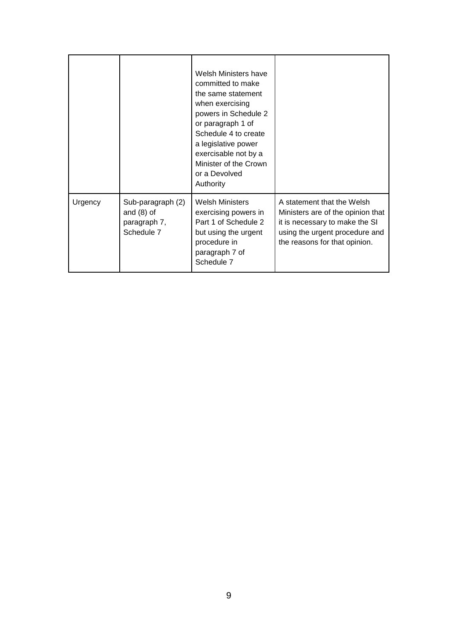|         |                                                                 | Welsh Ministers have<br>committed to make<br>the same statement<br>when exercising<br>powers in Schedule 2<br>or paragraph 1 of<br>Schedule 4 to create<br>a legislative power<br>exercisable not by a<br>Minister of the Crown<br>or a Devolved<br>Authority |                                                                                                                                                                      |
|---------|-----------------------------------------------------------------|---------------------------------------------------------------------------------------------------------------------------------------------------------------------------------------------------------------------------------------------------------------|----------------------------------------------------------------------------------------------------------------------------------------------------------------------|
| Urgency | Sub-paragraph (2)<br>and $(8)$ of<br>paragraph 7,<br>Schedule 7 | <b>Welsh Ministers</b><br>exercising powers in<br>Part 1 of Schedule 2<br>but using the urgent<br>procedure in<br>paragraph 7 of<br>Schedule 7                                                                                                                | A statement that the Welsh<br>Ministers are of the opinion that<br>it is necessary to make the SI<br>using the urgent procedure and<br>the reasons for that opinion. |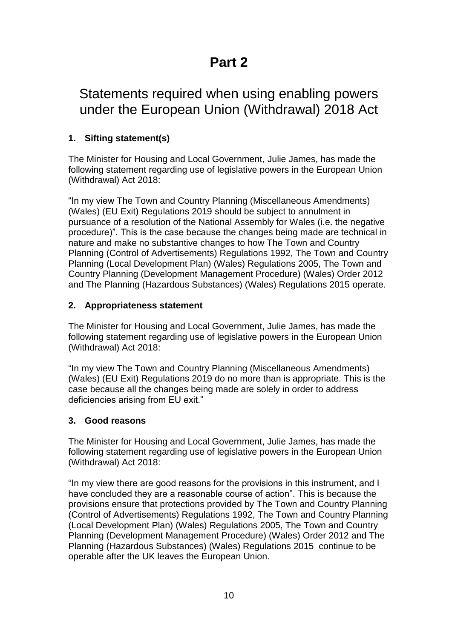# **Part 2**

# Statements required when using enabling powers under the European Union (Withdrawal) 2018 Act

# **1. Sifting statement(s)**

The Minister for Housing and Local Government, Julie James, has made the following statement regarding use of legislative powers in the European Union (Withdrawal) Act 2018:

"In my view The Town and Country Planning (Miscellaneous Amendments) (Wales) (EU Exit) Regulations 2019 should be subject to annulment in pursuance of a resolution of the National Assembly for Wales (i.e. the negative procedure)". This is the case because the changes being made are technical in nature and make no substantive changes to how The Town and Country Planning (Control of Advertisements) Regulations 1992, The Town and Country Planning (Local Development Plan) (Wales) Regulations 2005, The Town and Country Planning (Development Management Procedure) (Wales) Order 2012 and The Planning (Hazardous Substances) (Wales) Regulations 2015 operate.

# **2. Appropriateness statement**

The Minister for Housing and Local Government, Julie James, has made the following statement regarding use of legislative powers in the European Union (Withdrawal) Act 2018:

"In my view The Town and Country Planning (Miscellaneous Amendments) (Wales) (EU Exit) Regulations 2019 do no more than is appropriate. This is the case because all the changes being made are solely in order to address deficiencies arising from EU exit."

# **3. Good reasons**

The Minister for Housing and Local Government, Julie James, has made the following statement regarding use of legislative powers in the European Union (Withdrawal) Act 2018:

"In my view there are good reasons for the provisions in this instrument, and I have concluded they are a reasonable course of action". This is because the provisions ensure that protections provided by The Town and Country Planning (Control of Advertisements) Regulations 1992, The Town and Country Planning (Local Development Plan) (Wales) Regulations 2005, The Town and Country Planning (Development Management Procedure) (Wales) Order 2012 and The Planning (Hazardous Substances) (Wales) Regulations 2015 continue to be operable after the UK leaves the European Union.